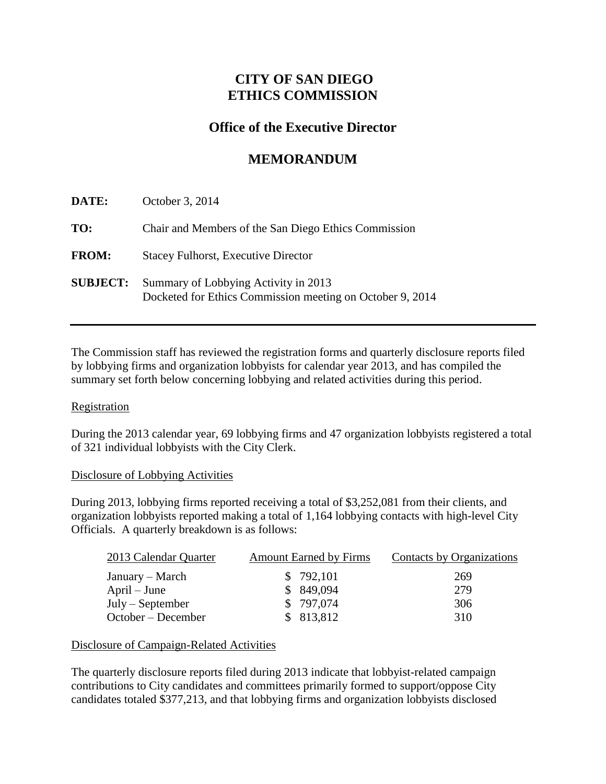## **CITY OF SAN DIEGO ETHICS COMMISSION**

### **Office of the Executive Director**

# **MEMORANDUM**

| DATE:           | October 3, 2014                                                                                   |
|-----------------|---------------------------------------------------------------------------------------------------|
| TO:             | Chair and Members of the San Diego Ethics Commission                                              |
| <b>FROM:</b>    | <b>Stacey Fulhorst, Executive Director</b>                                                        |
| <b>SUBJECT:</b> | Summary of Lobbying Activity in 2013<br>Docketed for Ethics Commission meeting on October 9, 2014 |

The Commission staff has reviewed the registration forms and quarterly disclosure reports filed by lobbying firms and organization lobbyists for calendar year 2013, and has compiled the summary set forth below concerning lobbying and related activities during this period.

#### **Registration**

During the 2013 calendar year, 69 lobbying firms and 47 organization lobbyists registered a total of 321 individual lobbyists with the City Clerk.

#### Disclosure of Lobbying Activities

During 2013, lobbying firms reported receiving a total of \$3,252,081 from their clients, and organization lobbyists reported making a total of 1,164 lobbying contacts with high-level City Officials. A quarterly breakdown is as follows:

| 2013 Calendar Quarter | <b>Amount Earned by Firms</b> | Contacts by Organizations |
|-----------------------|-------------------------------|---------------------------|
| January – March       | \$792,101                     | 269                       |
| $April - June$        | \$849,094                     | 279                       |
| $July - September$    | \$797,074                     | 306                       |
| October – December    | \$813,812                     | 310                       |

### Disclosure of Campaign-Related Activities

The quarterly disclosure reports filed during 2013 indicate that lobbyist-related campaign contributions to City candidates and committees primarily formed to support/oppose City candidates totaled \$377,213, and that lobbying firms and organization lobbyists disclosed